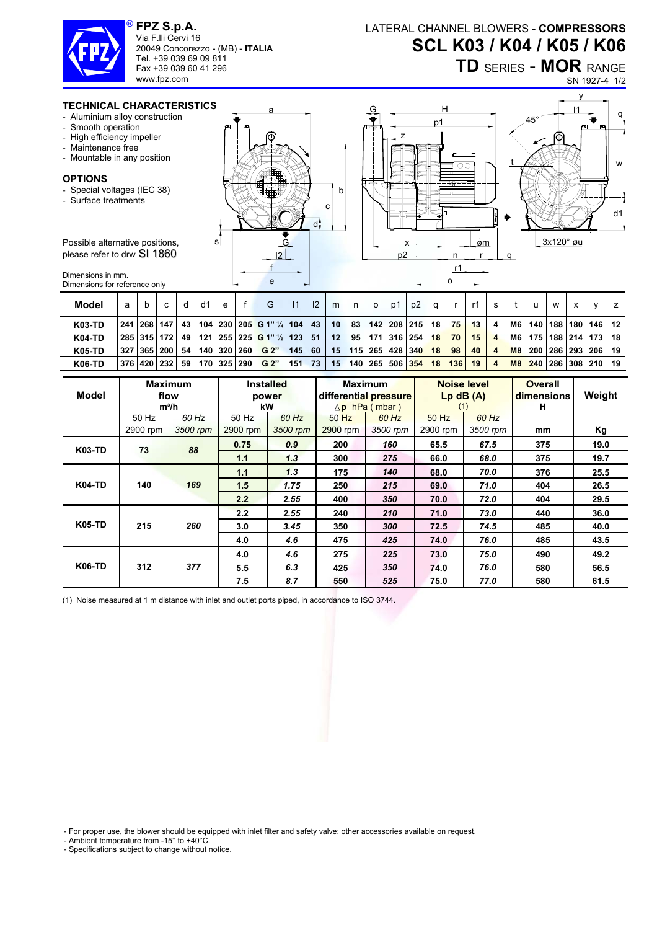

**FPZ S.p.A.**  Via F.lli Cervi 16 20049 Concorezzo - (MB) - **ITALIA** Tel. +39 039 69 09 811 Fax +39 039 60 41 296 www.fpz.com

LATERAL CHANNEL BLOWERS - **COMPRESSORS SCL K03 / K04 / K05 / K06**

**TD** SERIES - **MOR** RANGE

SN 1927-4 1/2

 $q<sub>l</sub>$ 

d1

w

y



- Aluminium alloy construction
- Smooth operation
- High efficiency impeller
- Maintenance free
- Mountable in any position

## **OPTIONS**

- Special voltages (IEC 38)
- Surface treatments

Possible alternative positions please refer to drw SI 1860

Dimensions in mm. Dimensions for reference only

| ERISTICS. | a                                             | H<br>G<br>∸                              | $\mathsf{I}$ |
|-----------|-----------------------------------------------|------------------------------------------|--------------|
| วท        |                                               | $45^{\circ}$<br>p1                       |              |
|           | ொ<br>о<br><b>FOR</b><br>b<br>ዝተተ<br>c<br>70   | स्त्रीय<br>ΟO<br>叿<br>πт<br>目<br>田雪<br>ক | ш.<br>R      |
| s         | di<br>æ<br>G<br>$\overline{2}$<br>$\mathbf e$ | x<br>øm<br>p2<br>n<br>α<br>r1<br>O       | 3x120° øu    |
|           |                                               |                                          |              |

| <b>Model</b>  | a    | b               | C   |    | d1 | e |             | G                                   |     | 12 | m  | n  | $\circ$               | D1          | p2              |    |     |    |                  |                |            | w       | х                    |         |      |
|---------------|------|-----------------|-----|----|----|---|-------------|-------------------------------------|-----|----|----|----|-----------------------|-------------|-----------------|----|-----|----|------------------|----------------|------------|---------|----------------------|---------|------|
| <b>K03-TD</b> | 241  | <b>268</b>      | 147 | 43 |    |   |             | 104   230   205   G 1" 1/4   104    |     | 43 | 10 | 83 |                       |             | 142   208   215 | 18 | 75  | 13 | 4                | M6             | 140        | 188 180 |                      | l 146 l | -12  |
| <b>K04-TD</b> |      | 285   315   172 |     | 49 |    |   |             | $121   255   225   G 1" % \leq 123$ |     | 51 | 12 | 95 |                       | 171 316 254 |                 | 18 | 70  | 15 | 4                | M6             | 175        |         | 188 214 173          |         | - 18 |
| <b>K05-TD</b> | -327 | 7   365   200   |     | 54 |    |   | 140 320 260 | G 2"                                | 145 | 60 | 15 |    | 115   265   428   340 |             |                 | 18 | 98  | 40 | 4                | M <sub>8</sub> | <b>200</b> |         | 286 293 206          |         | -19  |
| <b>K06-TD</b> |      | 376   420   232 |     | 59 |    |   | 170 325 290 | G 2"                                | 151 | 73 | 15 |    | 140 265 506 354       |             |                 | 18 | 136 | 19 | $\boldsymbol{A}$ | M8             | 240        |         | 286   308   210   19 |         |      |

| Model         |          | <b>Maximum</b><br>flow<br>$m^3/h$ |                         | <b>Installed</b><br>power<br>kW |          | <b>Maximum</b><br>differential pressure<br>$\Delta$ p hPa (mbar) |          | Noise level<br>$Lp$ dB $(A)$<br>(1) | <b>Overall</b><br>dimensions<br>н | Weight |
|---------------|----------|-----------------------------------|-------------------------|---------------------------------|----------|------------------------------------------------------------------|----------|-------------------------------------|-----------------------------------|--------|
|               | 50 Hz    | 60 Hz                             | 50 Hz<br>60 Hz<br>50 Hz |                                 | 60 Hz    | 60 Hz<br>50 Hz                                                   |          |                                     |                                   |        |
|               | 2900 rpm | 3500 rpm                          | 2900 rpm                | 3500 rpm                        | 2900 rpm | 3500 rpm                                                         | 2900 rpm | 3500 rpm                            | mm                                | Kg     |
| K03-TD        | 73       | 88                                | 0.75                    | 0.9                             | 200      | 160                                                              | 65.5     | 67.5                                | 375                               | 19.0   |
|               |          |                                   | 1.1                     | 1.3                             | 300      | 275                                                              | 66.0     | 68.0                                | 375                               | 19.7   |
| <b>K04-TD</b> | 140      |                                   | 1.1                     | 1,3                             | 175      | 140                                                              | 68.0     | 70.0                                | 376                               | 25.5   |
|               |          | 169                               | 1.5                     | 1.75                            | 250      | 215                                                              | 69.0     | 71.0                                | 404                               | 26.5   |
|               |          |                                   | 2.2                     | 2.55                            | 400      | 350                                                              | 70.0     | 72.0                                | 404                               | 29.5   |
| <b>K05-TD</b> |          |                                   | 2.2                     | 2.55                            | 240      | 210                                                              | 71.0     | 73.0                                | 440                               | 36.0   |
|               | 215      | 260                               | 3.0                     | 3.45                            | 350      | 300                                                              | 72.5     | 74.5                                | 485                               | 40.0   |
|               |          |                                   | 4.0                     | 4.6                             | 475      | 425                                                              | 74.0     | 76.0                                | 485                               | 43.5   |
| <b>K06-TD</b> |          |                                   | 4.0                     | 4.6                             | 275      | 225                                                              | 73.0     | 75.0                                | 490                               | 49.2   |
|               | 312      | 377                               | 5.5                     | 6.3                             | 425      | 350                                                              | 74.0     | 76.0                                | 580                               | 56.5   |
|               |          |                                   | 7.5                     | 8.7                             | 550      | 525                                                              | 75.0     | 77.0                                | 580                               | 61.5   |

(1) Noise measured at 1 m distance with inlet and outlet ports piped, in accordance to ISO 3744.

- For proper use, the blower should be equipped with inlet filter and safety valve; other accessories available on request.

- Ambient temperature from -15° to +40°C.

- Specifications subject to change without notice.